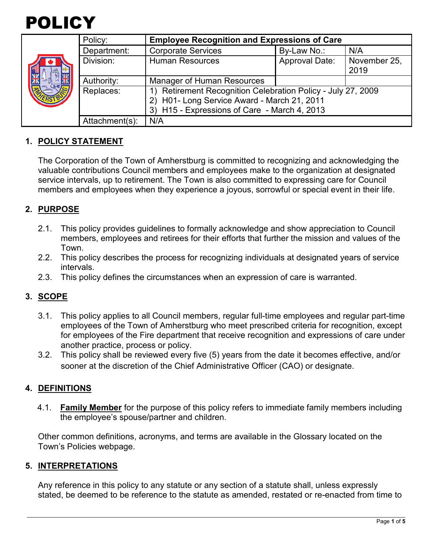

|  | Policy:        | <b>Employee Recognition and Expressions of Care</b>       |                       |              |  |
|--|----------------|-----------------------------------------------------------|-----------------------|--------------|--|
|  | Department:    | <b>Corporate Services</b>                                 | By-Law No.:           | N/A          |  |
|  | Division:      | <b>Human Resources</b>                                    | <b>Approval Date:</b> | November 25, |  |
|  |                |                                                           |                       | 2019         |  |
|  | Authority:     | <b>Manager of Human Resources</b>                         |                       |              |  |
|  | Replaces:      | Retirement Recognition Celebration Policy - July 27, 2009 |                       |              |  |
|  |                | H01- Long Service Award - March 21, 2011                  |                       |              |  |
|  |                | 3) H15 - Expressions of Care - March 4, 2013              |                       |              |  |
|  | Attachment(s): | N/A                                                       |                       |              |  |

# **1. POLICY STATEMENT**

The Corporation of the Town of Amherstburg is committed to recognizing and acknowledging the valuable contributions Council members and employees make to the organization at designated service intervals, up to retirement. The Town is also committed to expressing care for Council members and employees when they experience a joyous, sorrowful or special event in their life.

## **2. PURPOSE**

- 2.1. This policy provides guidelines to formally acknowledge and show appreciation to Council members, employees and retirees for their efforts that further the mission and values of the Town.
- 2.2. This policy describes the process for recognizing individuals at designated years of service intervals.
- 2.3. This policy defines the circumstances when an expression of care is warranted.

## **3. SCOPE**

- 3.1. This policy applies to all Council members, regular full-time employees and regular part-time employees of the Town of Amherstburg who meet prescribed criteria for recognition, except for employees of the Fire department that receive recognition and expressions of care under another practice, process or policy.
- 3.2. This policy shall be reviewed every five (5) years from the date it becomes effective, and/or sooner at the discretion of the Chief Administrative Officer (CAO) or designate.

## **4. DEFINITIONS**

4.1. **Family Member** for the purpose of this policy refers to immediate family members including the employee's spouse/partner and children.

Other common definitions, acronyms, and terms are available in the Glossary located on the Town's Policies webpage.

#### **5. INTERPRETATIONS**

Any reference in this policy to any statute or any section of a statute shall, unless expressly stated, be deemed to be reference to the statute as amended, restated or re-enacted from time to

\_\_\_\_\_\_\_\_\_\_\_\_\_\_\_\_\_\_\_\_\_\_\_\_\_\_\_\_\_\_\_\_\_\_\_\_\_\_\_\_\_\_\_\_\_\_\_\_\_\_\_\_\_\_\_\_\_\_\_\_\_\_\_\_\_\_\_\_\_\_\_\_\_\_\_\_\_\_\_\_\_\_\_\_\_\_\_\_\_\_\_\_\_\_\_\_\_\_\_\_\_\_\_\_\_\_\_\_\_\_\_\_\_\_\_\_\_\_\_\_\_\_\_\_\_\_\_\_\_\_\_\_\_\_\_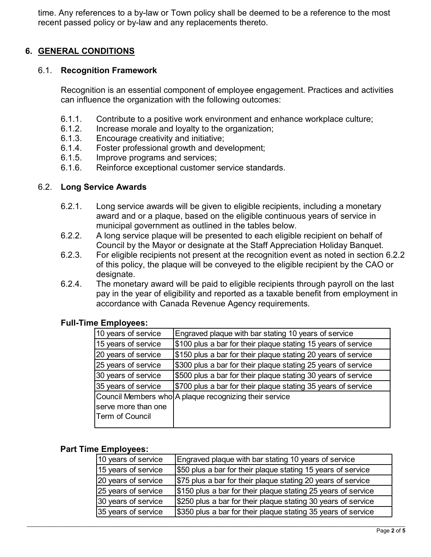time. Any references to a by-law or Town policy shall be deemed to be a reference to the most recent passed policy or by-law and any replacements thereto.

# **6. GENERAL CONDITIONS**

#### 6.1. **Recognition Framework**

Recognition is an essential component of employee engagement. Practices and activities can influence the organization with the following outcomes:

- 6.1.1. Contribute to a positive work environment and enhance workplace culture;
- 6.1.2. Increase morale and loyalty to the organization;
- 6.1.3. Encourage creativity and initiative;
- 6.1.4. Foster professional growth and development;
- 6.1.5. Improve programs and services;<br>6.1.6. Reinforce exceptional customer s
- Reinforce exceptional customer service standards.

#### 6.2. **Long Service Awards**

- 6.2.1. Long service awards will be given to eligible recipients, including a monetary award and or a plaque, based on the eligible continuous years of service in municipal government as outlined in the tables below.
- 6.2.2. A long service plaque will be presented to each eligible recipient on behalf of Council by the Mayor or designate at the Staff Appreciation Holiday Banquet.
- 6.2.3. For eligible recipients not present at the recognition event as noted in section 6.2.2 of this policy, the plaque will be conveyed to the eligible recipient by the CAO or designate.
- 6.2.4. The monetary award will be paid to eligible recipients through payroll on the last pay in the year of eligibility and reported as a taxable benefit from employment in accordance with Canada Revenue Agency requirements.

## **Full-Time Employees:**

| 10 years of service                                    | Engraved plaque with bar stating 10 years of service          |  |  |  |
|--------------------------------------------------------|---------------------------------------------------------------|--|--|--|
| 15 years of service                                    | \$100 plus a bar for their plaque stating 15 years of service |  |  |  |
| 20 years of service                                    | \$150 plus a bar for their plaque stating 20 years of service |  |  |  |
| 25 years of service                                    | \$300 plus a bar for their plaque stating 25 years of service |  |  |  |
| 30 years of service                                    | \$500 plus a bar for their plaque stating 30 years of service |  |  |  |
| 35 years of service                                    | \$700 plus a bar for their plaque stating 35 years of service |  |  |  |
| Council Members who A plaque recognizing their service |                                                               |  |  |  |
| serve more than one                                    |                                                               |  |  |  |
| Term of Council                                        |                                                               |  |  |  |
|                                                        |                                                               |  |  |  |

#### **Part Time Employees:**

| 10 years of service | Engraved plaque with bar stating 10 years of service          |
|---------------------|---------------------------------------------------------------|
| 15 years of service | \$50 plus a bar for their plaque stating 15 years of service  |
| 20 years of service | \$75 plus a bar for their plaque stating 20 years of service  |
| 25 years of service | \$150 plus a bar for their plaque stating 25 years of service |
| 30 years of service | \$250 plus a bar for their plaque stating 30 years of service |
| 35 years of service | \$350 plus a bar for their plaque stating 35 years of service |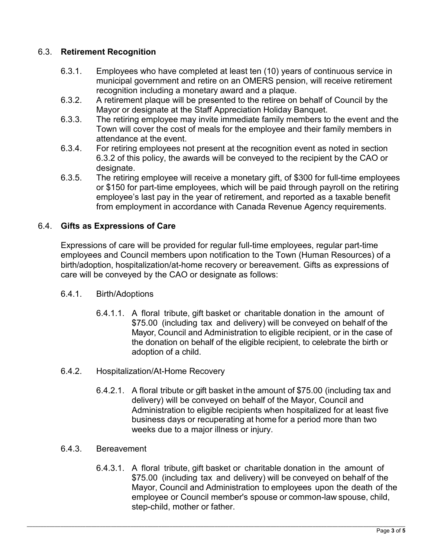# 6.3. **Retirement Recognition**

- 6.3.1. Employees who have completed at least ten (10) years of continuous service in municipal government and retire on an OMERS pension, will receive retirement recognition including a monetary award and a plaque.
- 6.3.2. A retirement plaque will be presented to the retiree on behalf of Council by the Mayor or designate at the Staff Appreciation Holiday Banquet.
- 6.3.3. The retiring employee may invite immediate family members to the event and the Town will cover the cost of meals for the employee and their family members in attendance at the event.
- 6.3.4. For retiring employees not present at the recognition event as noted in section 6.3.2 of this policy, the awards will be conveyed to the recipient by the CAO or designate.
- 6.3.5. The retiring employee will receive a monetary gift, of \$300 for full-time employees or \$150 for part-time employees, which will be paid through payroll on the retiring employee's last pay in the year of retirement, and reported as a taxable benefit from employment in accordance with Canada Revenue Agency requirements.

# 6.4. **Gifts as Expressions of Care**

Expressions of care will be provided for regular full-time employees, regular part-time employees and Council members upon notification to the Town (Human Resources) of a birth/adoption, hospitalization/at-home recovery or bereavement. Gifts as expressions of care will be conveyed by the CAO or designate as follows:

## 6.4.1. Birth/Adoptions

- 6.4.1.1. A floral tribute, gift basket or charitable donation in the amount of \$75.00 (including tax and delivery) will be conveyed on behalf of the Mayor, Council and Administration to eligible recipient, or in the case of the donation on behalf of the eligible recipient, to celebrate the birth or adoption of a child.
- 6.4.2. Hospitalization/At-Home Recovery
	- 6.4.2.1. A floral tribute or gift basket in the amount of \$75.00 (including tax and delivery) will be conveyed on behalf of the Mayor, Council and Administration to eligible recipients when hospitalized for at least five business days or recuperating at home for a period more than two weeks due to a major illness or injury.
- 6.4.3. Bereavement
	- 6.4.3.1. A floral tribute, gift basket or charitable donation in the amount of \$75.00 (including tax and delivery) will be conveyed on behalf of the Mayor, Council and Administration to employees upon the death of the employee or Council member's spouse or common-law spouse, child, step-child, mother or father.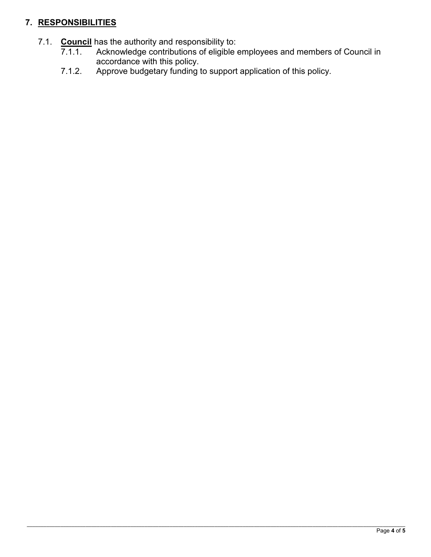# **7. RESPONSIBILITIES**

- 7.1. **Council** has the authority and responsibility to:<br>7.1.1. Acknowledge contributions of eligible
	- Acknowledge contributions of eligible employees and members of Council in accordance with this policy.
	- 7.1.2. Approve budgetary funding to support application of this policy.